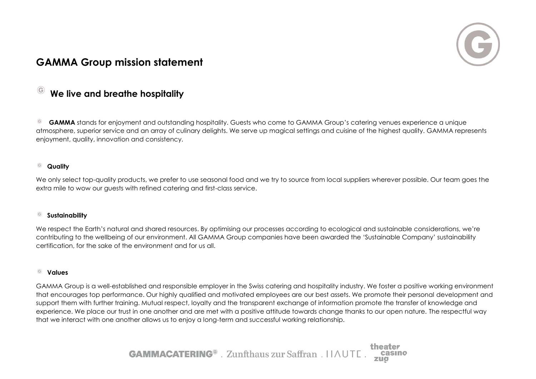

# **GAMMA Group mission statement**

### **We live and breathe hospitality**

 $^{\circ}$ **GAMMA** stands for enjoyment and outstanding hospitality. Guests who come to GAMMA Group's catering venues experience a unique atmosphere, superior service and an array of culinary delights. We serve up magical settings and cuisine of the highest quality. GAMMA represents enjoyment, quality, innovation and consistency.

#### $\odot$ **Quality**

We only select top-quality products, we prefer to use seasonal food and we try to source from local suppliers wherever possible. Our team goes the extra mile to wow our guests with refined catering and first-class service.

#### **Sustainability**  $_{\odot}$

We respect the Earth's natural and shared resources. By optimising our processes according to ecological and sustainable considerations, we're contributing to the wellbeing of our environment. All GAMMA Group companies have been awarded the 'Sustainable Company' sustainability certification, for the sake of the environment and for us all.

### **Values**

GAMMA Group is a well-established and responsible employer in the Swiss catering and hospitality industry. We foster a positive working environment that encourages top performance. Our highly qualified and motivated employees are our best assets. We promote their personal development and support them with further training. Mutual respect, loyalty and the transparent exchange of information promote the transfer of knowledge and experience. We place our trust in one another and are met with a positive attitude towards change thanks to our open nature. The respectful way that we interact with one another allows us to enjoy a long-term and successful working relationship.

> theater **GAMMACATERING**<sup>®</sup> . Zunfthaus zur Saffran . IIAUTE.